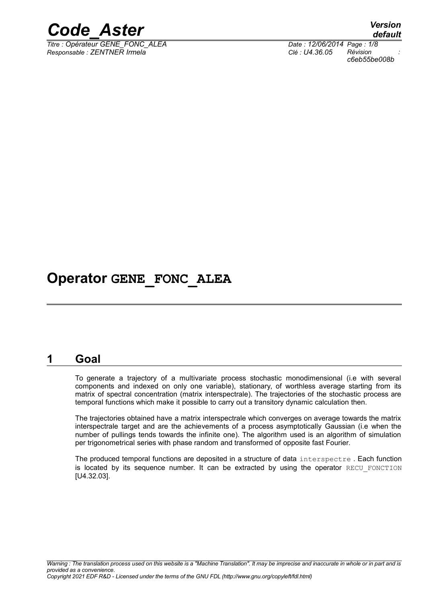

*Titre : Opérateur GENE\_FONC\_ALEA Date : 12/06/2014 Page : 1/8 Responsable : ZENTNER Irmela Clé : U4.36.05 Révision :*

*default c6eb55be008b*

## **Operator GENE\_FONC\_ALEA**

## **1 Goal**

To generate a trajectory of a multivariate process stochastic monodimensional (i.e with several components and indexed on only one variable), stationary, of worthless average starting from its matrix of spectral concentration (matrix interspectrale). The trajectories of the stochastic process are temporal functions which make it possible to carry out a transitory dynamic calculation then.

The trajectories obtained have a matrix interspectrale which converges on average towards the matrix interspectrale target and are the achievements of a process asymptotically Gaussian (i.e when the number of pullings tends towards the infinite one). The algorithm used is an algorithm of simulation per trigonometrical series with phase random and transformed of opposite fast Fourier.

The produced temporal functions are deposited in a structure of data interspectre . Each function is located by its sequence number. It can be extracted by using the operator RECU FONCTION [U4.32.03].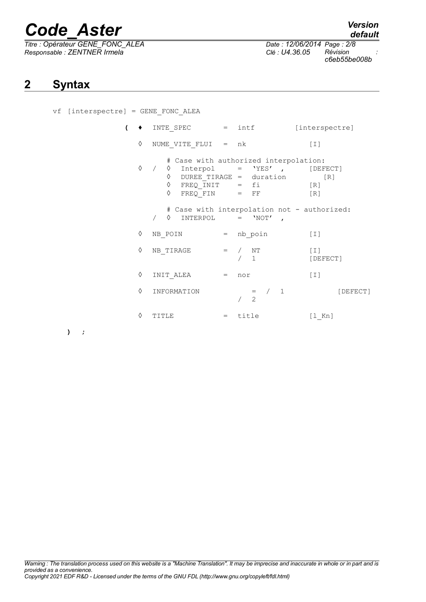*Titre : Opérateur GENE\_FONC\_ALEA Date : 12/06/2014 Page : 2/8 Responsable : ZENTNER Irmela Clé : U4.36.05 Révision :*

## **2 Syntax**

vf [interspectre] = GENE\_FONC\_ALEA

| $\overline{ }$ |   | $INTE$ SPEC = $intf$                                  |     |                                                                                                    | [interspectre]                                            |
|----------------|---|-------------------------------------------------------|-----|----------------------------------------------------------------------------------------------------|-----------------------------------------------------------|
|                | ♦ | NUME VITE FLUI = $nk$                                 |     |                                                                                                    | [T]                                                       |
|                | ♦ | $\Diamond$ FREQ_INIT = fi<br>♦<br>$FREQ$ $FIN$ = $FF$ |     | # Case with authorized interpolation:<br>$\Diamond$ Interpol = 'YES',<br>0 DUREE_TIRAGE = duration | [DEFECT]<br>$\lceil R \rceil$<br>[R]<br>$\lceil R \rceil$ |
|                |   | ♦<br>INTERPOL = 'NOT'                                 |     | # Case with interpolation not - authorized:<br>$\overline{ }$                                      |                                                           |
|                | ♦ | NB POIN                                               |     | = nb_poin                                                                                          | $[1]$                                                     |
|                | ♦ | NB TIRAGE                                             |     | $=$ / NT<br>$\mathbf{1}$                                                                           | [T]<br>[DEFECT]                                           |
|                | ♦ | INIT ALEA                                             | $=$ | nor                                                                                                | $\lceil 1 \rceil$                                         |
|                | ♦ | INFORMATION                                           |     | $=$ /<br>1<br>2                                                                                    | [DEFECT]                                                  |
|                | ♦ | TITLE                                                 | $=$ | title                                                                                              | $\lceil 1$ Kn]                                            |

**) ;**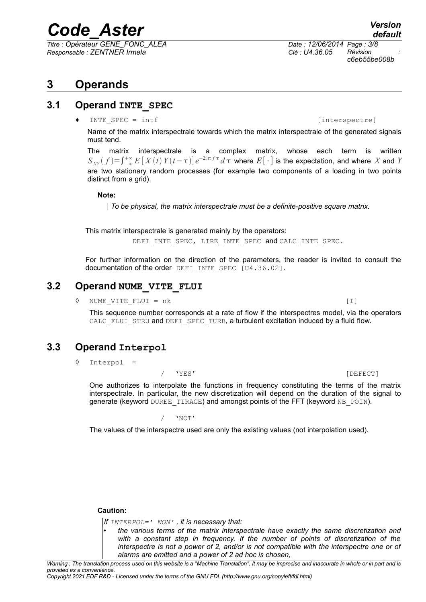*Titre : Opérateur GENE\_FONC\_ALEA Date : 12/06/2014 Page : 3/8 Responsable : ZENTNER Irmela Clé : U4.36.05 Révision :*

*c6eb55be008b*

## **3 Operands**

### **3.1 Operand INTE\_SPEC**

 $[interspec = intf$  [interspectre]

Name of the matrix interspectrale towards which the matrix interspectrale of the generated signals must tend.

The matrix interspectrale is a complex matrix, whose each term is written  $S_{\overline{XY}}(f)=\int_{-\infty}^{+\infty}E\left[\,X(t)\,Y(t-\tau)\right]e^{-2i\,\pi\,f\,\tau}\,d\,\tau$  where  $E\big[\,\cdot\,\big]$  is the expectation, and where  $X$  and  $Y$ are two stationary random processes (for example two components of a loading in two points distinct from a grid).

#### **Note:**

*To be physical, the matrix interspectrale must be a definite-positive square matrix.* 

This matrix interspectrale is generated mainly by the operators:

DEFI\_INTE\_SPEC, LIRE\_INTE\_SPEC and CALC\_INTE\_SPEC.

For further information on the direction of the parameters, the reader is invited to consult the documentation of the order DEFI\_INTE\_SPEC [U4.36.02].

## **3.2 Operand NUME\_VITE\_FLUI**

◊ NUME\_VITE\_FLUI = nk [I]

This sequence number corresponds at a rate of flow if the interspectres model, via the operators CALC\_FLUI\_STRU and DEFI\_SPEC\_TURB, a turbulent excitation induced by a fluid flow.

## **3.3 Operand Interpol**

◊ Interpol =

#### / 'YES' [DEFECT]

One authorizes to interpolate the functions in frequency constituting the terms of the matrix interspectrale. In particular, the new discretization will depend on the duration of the signal to generate (keyword DUREE\_TIRAGE) and amongst points of the FFT (keyword NB\_POIN).

/ 'NOT'

The values of the interspectre used are only the existing values (not interpolation used).

#### **Caution:**

*If INTERPOL=' NON' , it is necessary that:*

• *the various terms of the matrix interspectrale have exactly the same discretization and with a constant step in frequency. If the number of points of discretization of the interspectre is not a power of 2, and/or is not compatible with the interspectre one or of alarms are emitted and a power of 2 ad hoc is chosen,*

*Warning : The translation process used on this website is a "Machine Translation". It may be imprecise and inaccurate in whole or in part and is provided as a convenience.*

*Copyright 2021 EDF R&D - Licensed under the terms of the GNU FDL (http://www.gnu.org/copyleft/fdl.html)*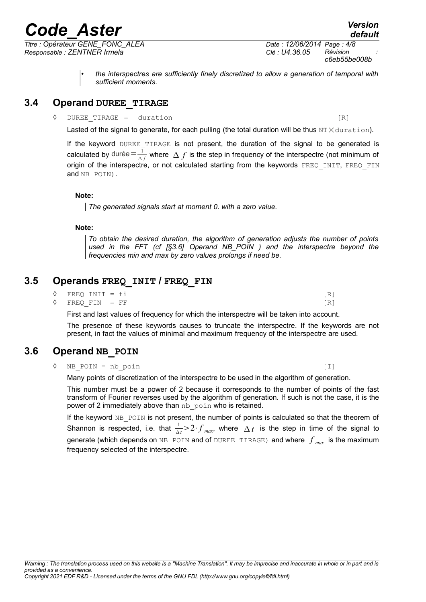*Titre : Opérateur GENE\_FONC\_ALEA Date : 12/06/2014 Page : 4/8 Responsable : ZENTNER Irmela Clé : U4.36.05 Révision :*

*c6eb55be008b*

• *the interspectres are sufficiently finely discretized to allow a generation of temporal with sufficient moments.*

## **3.4 Operand DUREE\_TIRAGE**

◊ DUREE\_TIRAGE = duration [R]

Lasted of the signal to generate, for each pulling (the total duration will be thus  $NT \times duration$ ).

If the keyword DUREE TIRAGE is not present, the duration of the signal to be generated is calculated by durée $=$  $\frac{1}{4}$  $\frac{1}{\Delta f}$  where  $\Delta f$  is the step in frequency of the interspectre (not minimum of origin of the interspectre, or not calculated starting from the keywords FREQ INIT, FREQ FIN and NB POIN).

#### **Note:**

*The generated signals start at moment 0. with a zero value.*

#### **Note:**

*To obtain the desired duration, the algorithm of generation adjusts the number of points used in the FFT (cf [§3.6] [Operand NB\\_POIN](#page-3-0) ) and the interspectre beyond the frequencies min and max by zero values prolongs if need be.*

## **3.5 Operands FREQ\_INIT / FREQ\_FIN**

| $\Diamond$ FREO INIT = fi |  |
|---------------------------|--|
| $\Diamond$ FREO FIN = FF  |  |

First and last values of frequency for which the interspectre will be taken into account.

The presence of these keywords causes to truncate the interspectre. If the keywords are not present, in fact the values of minimal and maximum frequency of the interspectre are used.

## **3.6 Operand NB\_POIN**

<span id="page-3-0"></span>◊ NB\_POIN = nb\_poin [I]

Many points of discretization of the interspectre to be used in the algorithm of generation.

This number must be a power of 2 because it corresponds to the number of points of the fast transform of Fourier reverses used by the algorithm of generation. If such is not the case, it is the power of 2 immediately above than nb poin who is retained.

If the keyword NB POIN is not present, the number of points is calculated so that the theorem of Shannon is respected, i.e. that  $\frac{1}{\Delta t}$  >  $2 \cdot f$   $_{max}$ , where  $\Delta t$  is the step in time of the signal to generate (which depends on NB POIN and of DUREE TIRAGE) and where  $f_{max}$  is the maximum frequency selected of the interspectre.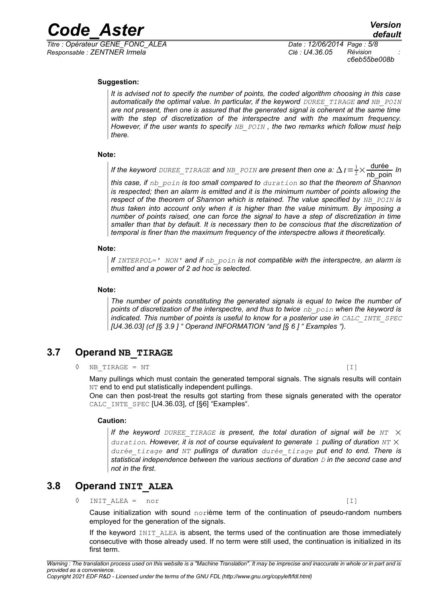*Responsable : ZENTNER Irmela Clé : U4.36.05 Révision :*

*Titre : Opérateur GENE\_FONC\_ALEA Date : 12/06/2014 Page : 5/8 c6eb55be008b*

#### **Suggestion:**

*It is advised not to specify the number of points, the coded algorithm choosing in this case automatically the optimal value. In particular, if the keyword DUREE TIRAGE and NB POIN are not present, then one is assured that the generated signal is coherent at the same time with the step of discretization of the interspectre and with the maximum frequency. However, if the user wants to specify NB\_POIN , the two remarks which follow must help there.*

#### **Note:**

If the keyword <code>DUREE\_TIRAGE</code> and <code>NB\_POIN</code> are present then one a:  $\Delta$  t  $=$   $\frac{1}{2}\times\frac{\text{durée}}{\text{n}\text{b\_point}}$  In *this case, if nb\_poin is too small compared to duration so that the theorem of Shannon is respected; then an alarm is emitted and it is the minimum number of points allowing the respect of the theorem of Shannon which is retained. The value specified by NB POIN* is *thus taken into account only when it is higher than the value minimum. By imposing a number of points raised, one can force the signal to have a step of discretization in time smaller than that by default. It is necessary then to be conscious that the discretization of temporal is finer than the maximum frequency of the interspectre allows it theoretically.* 

#### **Note:**

*If INTERPOL=' NON' and if nb\_poin is not compatible with the interspectre, an alarm is emitted and a power of 2 ad hoc is selected.*

#### **Note:**

*The number of points constituting the generated signals is equal to twice the number of points of discretization of the interspectre, and thus to twice nb\_poin when the keyword is indicated. This number of points is useful to know for a posterior use in CALC\_INTE\_SPEC [U4.36.03] (cf [§ [3.9](#page-5-0) ] " [Operand INFORMATION](#page-5-0) "and [§ [6](#page-6-0) ] " [Examples](#page-6-0) ").*

## **3.7 Operand NB\_TIRAGE**

 $\Diamond$  NB TIRAGE = NT [I]

Many pullings which must contain the generated temporal signals. The signals results will contain NT end to end put statistically independent pullings.

One can then post-treat the results got starting from these signals generated with the operator CALC INTE SPEC [U4.36.03], cf [[§6\]](#page-6-0) ["Examples"](#page-6-0).

#### **Caution:**

*If the keyword DUREE TIRAGE* is present, the total duration of signal will be  $NT \times$ *duration. However, it is not of course equivalent to generate 1 pulling of duration NT* × *durée\_tirage and NT pullings of duration durée\_tirage put end to end. There is statistical independence between the various sections of duration D in the second case and not in the first.*

## **3.8 Operand INIT\_ALEA**

 $\Diamond$  INIT ALEA = nor [I]

Cause initialization with sound norième term of the continuation of pseudo-random numbers employed for the generation of the signals.

If the keyword INIT ALEA is absent, the terms used of the continuation are those immediately consecutive with those already used. If no term were still used, the continuation is initialized in its first term.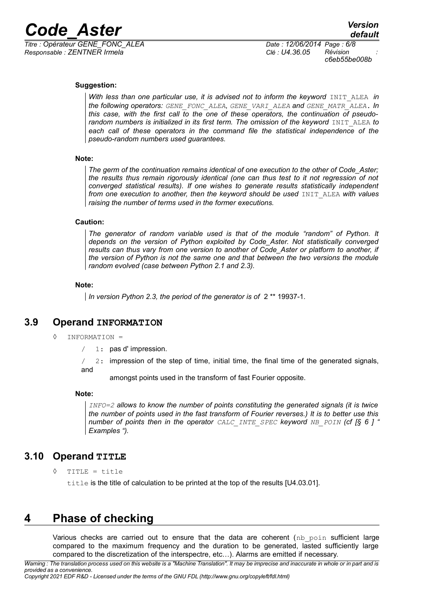

*Responsable : ZENTNER Irmela Clé : U4.36.05 Révision :*

*Titre : Opérateur GENE\_FONC\_ALEA Date : 12/06/2014 Page : 6/8 c6eb55be008b*

#### **Suggestion:**

*With less than one particular use, it is advised not to inform the keyword INIT ALEA in the following operators: GENE\_FONC\_ALEA*, *GENE\_VARI\_ALEA and GENE\_MATR\_ALEA. In this case, with the first call to the one of these operators, the continuation of pseudorandom numbers is initialized in its first term. The omission of the keyword* INIT ALEA *to each call of these operators in the command file the statistical independence of the pseudo-random numbers used guarantees.*

#### **Note:**

*The germ of the continuation remains identical of one execution to the other of Code\_Aster; the results thus remain rigorously identical (one can thus test to it not regression of not converged statistical results). If one wishes to generate results statistically independent from one execution to another, then the keyword should be used* INIT ALEA *with values raising the number of terms used in the former executions.*

#### **Caution:**

*The generator of random variable used is that of the module "random" of Python. It depends on the version of Python exploited by Code\_Aster. Not statistically converged results can thus vary from one version to another of Code\_Aster or platform to another, if the version of Python is not the same one and that between the two versions the module random evolved (case between Python 2.1 and 2.3).*

#### **Note:**

*In version Python 2.3, the period of the generator is of* 2 \*\* 19937-1*.* 

## **3.9 Operand INFORMATION**

- <span id="page-5-0"></span>◊ INFORMATION =
	- $/ 1:$  pas d'impression.

 $/$  2: impression of the step of time, initial time, the final time of the generated signals, and

amongst points used in the transform of fast Fourier opposite.

#### **Note:**

*INFO=2 allows to know the number of points constituting the generated signals (it is twice the number of points used in the fast transform of Fourier reverses.) It is to better use this number of points then in the operator CALC\_INTE\_SPEC keyword NB\_POIN (cf [§ [6](#page-6-0) ] " [Examples](#page-6-0) ").*

## **3.10 Operand TITLE**

◊ TITLE = title

title is the title of calculation to be printed at the top of the results [U4.03.01].

## **4 Phase of checking**

Various checks are carried out to ensure that the data are coherent ( $nb$   $poin$  sufficient large compared to the maximum frequency and the duration to be generated, lasted sufficiently large compared to the discretization of the interspectre, etc…). Alarms are emitted if necessary.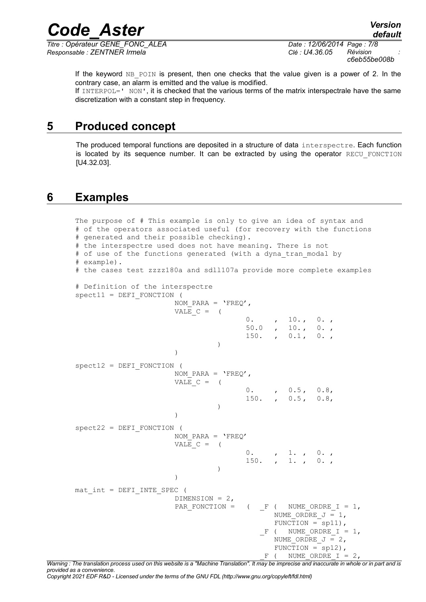*Titre : Opérateur GENE\_FONC\_ALEA Date : 12/06/2014 Page : 7/8 Responsable : ZENTNER Irmela Clé : U4.36.05 Révision :*

*Code\_Aster Version default*

*c6eb55be008b*

If the keyword  $NB$  POIN is present, then one checks that the value given is a power of 2. In the contrary case, an alarm is emitted and the value is modified.

If INTERPOL=' NON', it is checked that the various terms of the matrix interspectrale have the same discretization with a constant step in frequency.

## **5 Produced concept**

The produced temporal functions are deposited in a structure of data interspectre. Each function is located by its sequence number. It can be extracted by using the operator RECU FONCTION [U4.32.03].

## **6 Examples**

```
The purpose of # This example is only to give an idea of syntax and
# of the operators associated useful (for recovery with the functions 
# generated and their possible checking).
# the interspectre used does not have meaning. There is not
# of use of the functions generated (with a dyna tran modal by
# example).
# the cases test zzzz180a and sdll107a provide more complete examples
# Definition of the interspectre
spect11 = DEFI FONCTION (
                       NOM PARA = 'FREQ',
                       VALE C = (0. , 10. , 0. ,
                                       50.0 , 10., 0.,
                                       150. , 0.1, 0.)
                       )
spect12 = DEFI FONCTION (
                       NOM PARA = 'FREO',
                       VALE C = (0. , 0.5, 0.8,<br>150. , 0.5, 0.8,
                                                0.5, 0.8,
                                 )
                       )
spect22 = DEFI_FONCTION (
                       NOM PARA = 'FREQ'VALE C = (0. , 1. , 0. ,
                                       150. , 1. , 0. ,
                                 )
                       )
mat int = DEFI INTE SPEC (
                       DIMENSION = 2,
                       PAR_FONCTION = ( F ( NUME_ORDRE I = 1,
                                             NUME ORDRE J = 1,
                                              FUNCTION = sp11),
                                           F ( NUME ORDRE I = 1,
                                              NUME ORDRE J = 2,
                                              FUNCTION = sp12),
                                            F ( NUME ORDRE I = 2,
```